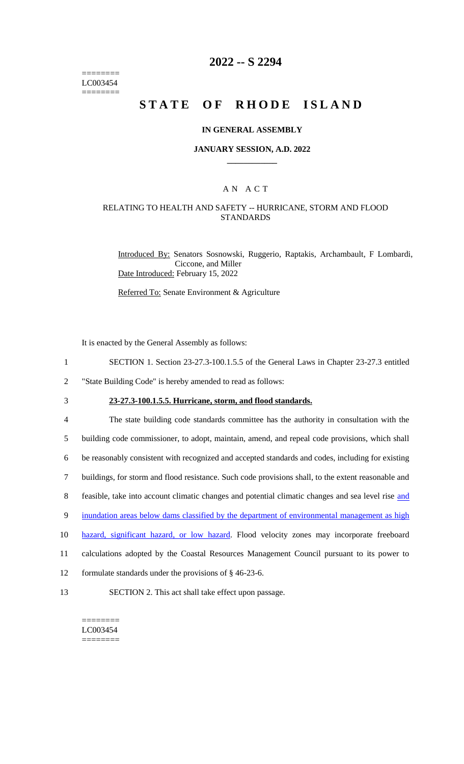======== LC003454 ========

### **2022 -- S 2294**

# **STATE OF RHODE ISLAND**

#### **IN GENERAL ASSEMBLY**

#### **JANUARY SESSION, A.D. 2022 \_\_\_\_\_\_\_\_\_\_\_\_**

### A N A C T

#### RELATING TO HEALTH AND SAFETY -- HURRICANE, STORM AND FLOOD STANDARDS

Introduced By: Senators Sosnowski, Ruggerio, Raptakis, Archambault, F Lombardi, Ciccone, and Miller Date Introduced: February 15, 2022

Referred To: Senate Environment & Agriculture

It is enacted by the General Assembly as follows:

- 1 SECTION 1. Section 23-27.3-100.1.5.5 of the General Laws in Chapter 23-27.3 entitled
- 2 "State Building Code" is hereby amended to read as follows:
- 

3 **23-27.3-100.1.5.5. Hurricane, storm, and flood standards.**

 The state building code standards committee has the authority in consultation with the building code commissioner, to adopt, maintain, amend, and repeal code provisions, which shall be reasonably consistent with recognized and accepted standards and codes, including for existing buildings, for storm and flood resistance. Such code provisions shall, to the extent reasonable and 8 feasible, take into account climatic changes and potential climatic changes and sea level rise and 9 inundation areas below dams classified by the department of environmental management as high 10 hazard, significant hazard, or low hazard. Flood velocity zones may incorporate freeboard calculations adopted by the Coastal Resources Management Council pursuant to its power to

- 12 formulate standards under the provisions of § 46-23-6.
- 13 SECTION 2. This act shall take effect upon passage.

======== LC003454 ========